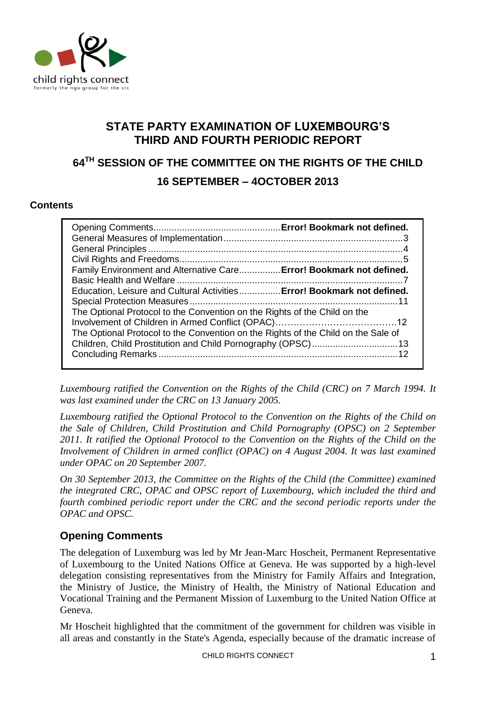

# **STATE PARTY EXAMINATION OF LUXEMBOURG'S THIRD AND FOURTH PERIODIC REPORT**

# **64TH SESSION OF THE COMMITTEE ON THE RIGHTS OF THE CHILD 16 SEPTEMBER – 4OCTOBER 2013**

### **Contents**

| Family Environment and Alternative Care Error! Bookmark not defined.              |  |
|-----------------------------------------------------------------------------------|--|
|                                                                                   |  |
| Education, Leisure and Cultural Activities Error! Bookmark not defined.           |  |
|                                                                                   |  |
| The Optional Protocol to the Convention on the Rights of the Child on the         |  |
|                                                                                   |  |
| The Optional Protocol to the Convention on the Rights of the Child on the Sale of |  |
|                                                                                   |  |
|                                                                                   |  |
|                                                                                   |  |

*Luxembourg ratified the Convention on the Rights of the Child (CRC) on 7 March 1994. It was last examined under the CRC on 13 January 2005.* 

*Luxembourg ratified the Optional Protocol to the Convention on the Rights of the Child on the Sale of Children, Child Prostitution and Child Pornography (OPSC) on 2 September 2011. It ratified the Optional Protocol to the Convention on the Rights of the Child on the Involvement of Children in armed conflict (OPAC) on 4 August 2004. It was last examined under OPAC on 20 September 2007.*

*On 30 September 2013, the Committee on the Rights of the Child (the Committee) examined the integrated CRC, OPAC and OPSC report of Luxembourg, which included the third and fourth combined periodic report under the CRC and the second periodic reports under the OPAC and OPSC.*

# **Opening Comments**

The delegation of Luxemburg was led by Mr Jean-Marc Hoscheit, Permanent Representative of Luxembourg to the United Nations Office at Geneva. He was supported by a high-level delegation consisting representatives from the Ministry for Family Affairs and Integration, the Ministry of Justice, the Ministry of Health, the Ministry of National Education and Vocational Training and the Permanent Mission of Luxemburg to the United Nation Office at Geneva.

Mr Hoscheit highlighted that the commitment of the government for children was visible in all areas and constantly in the State's Agenda, especially because of the dramatic increase of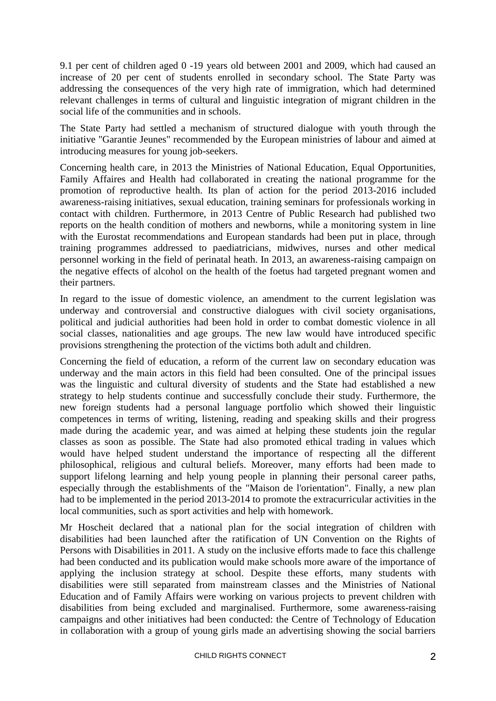9.1 per cent of children aged 0 -19 years old between 2001 and 2009, which had caused an increase of 20 per cent of students enrolled in secondary school. The State Party was addressing the consequences of the very high rate of immigration, which had determined relevant challenges in terms of cultural and linguistic integration of migrant children in the social life of the communities and in schools.

The State Party had settled a mechanism of structured dialogue with youth through the initiative "Garantie Jeunes" recommended by the European ministries of labour and aimed at introducing measures for young job-seekers.

Concerning health care, in 2013 the Ministries of National Education, Equal Opportunities, Family Affaires and Health had collaborated in creating the national programme for the promotion of reproductive health. Its plan of action for the period 2013-2016 included awareness-raising initiatives, sexual education, training seminars for professionals working in contact with children. Furthermore, in 2013 Centre of Public Research had published two reports on the health condition of mothers and newborns, while a monitoring system in line with the Eurostat recommendations and European standards had been put in place, through training programmes addressed to paediatricians, midwives, nurses and other medical personnel working in the field of perinatal heath. In 2013, an awareness-raising campaign on the negative effects of alcohol on the health of the foetus had targeted pregnant women and their partners.

In regard to the issue of domestic violence, an amendment to the current legislation was underway and controversial and constructive dialogues with civil society organisations, political and judicial authorities had been hold in order to combat domestic violence in all social classes, nationalities and age groups. The new law would have introduced specific provisions strengthening the protection of the victims both adult and children.

Concerning the field of education, a reform of the current law on secondary education was underway and the main actors in this field had been consulted. One of the principal issues was the linguistic and cultural diversity of students and the State had established a new strategy to help students continue and successfully conclude their study. Furthermore, the new foreign students had a personal language portfolio which showed their linguistic competences in terms of writing, listening, reading and speaking skills and their progress made during the academic year, and was aimed at helping these students join the regular classes as soon as possible. The State had also promoted ethical trading in values which would have helped student understand the importance of respecting all the different philosophical, religious and cultural beliefs. Moreover, many efforts had been made to support lifelong learning and help young people in planning their personal career paths, especially through the establishments of the "Maison de l'orientation". Finally, a new plan had to be implemented in the period 2013-2014 to promote the extracurricular activities in the local communities, such as sport activities and help with homework.

Mr Hoscheit declared that a national plan for the social integration of children with disabilities had been launched after the ratification of UN Convention on the Rights of Persons with Disabilities in 2011. A study on the inclusive efforts made to face this challenge had been conducted and its publication would make schools more aware of the importance of applying the inclusion strategy at school. Despite these efforts, many students with disabilities were still separated from mainstream classes and the Ministries of National Education and of Family Affairs were working on various projects to prevent children with disabilities from being excluded and marginalised. Furthermore, some awareness-raising campaigns and other initiatives had been conducted: the Centre of Technology of Education in collaboration with a group of young girls made an advertising showing the social barriers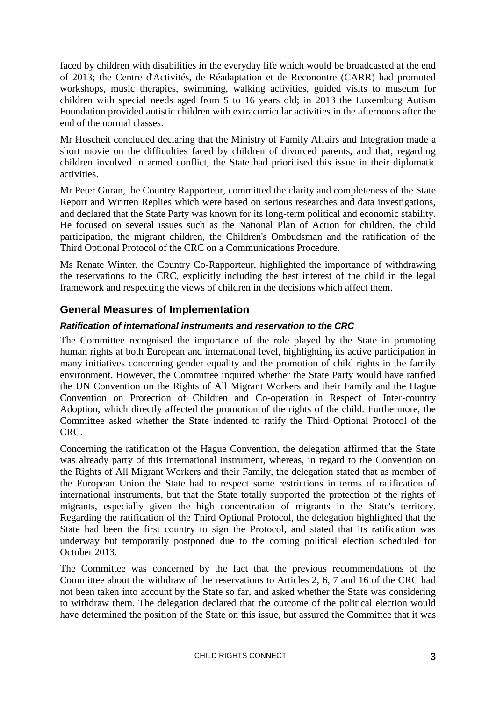faced by children with disabilities in the everyday life which would be broadcasted at the end of 2013; the Centre d'Activités, de Réadaptation et de Reconontre (CARR) had promoted workshops, music therapies, swimming, walking activities, guided visits to museum for children with special needs aged from 5 to 16 years old; in 2013 the Luxemburg Autism Foundation provided autistic children with extracurricular activities in the afternoons after the end of the normal classes.

Mr Hoscheit concluded declaring that the Ministry of Family Affairs and Integration made a short movie on the difficulties faced by children of divorced parents, and that, regarding children involved in armed conflict, the State had prioritised this issue in their diplomatic activities.

Mr Peter Guran, the Country Rapporteur, committed the clarity and completeness of the State Report and Written Replies which were based on serious researches and data investigations, and declared that the State Party was known for its long-term political and economic stability. He focused on several issues such as the National Plan of Action for children, the child participation, the migrant children, the Children's Ombudsman and the ratification of the Third Optional Protocol of the CRC on a Communications Procedure.

Ms Renate Winter, the Country Co-Rapporteur, highlighted the importance of withdrawing the reservations to the CRC, explicitly including the best interest of the child in the legal framework and respecting the views of children in the decisions which affect them.

## **General Measures of Implementation**

### *Ratification of international instruments and reservation to the CRC*

The Committee recognised the importance of the role played by the State in promoting human rights at both European and international level, highlighting its active participation in many initiatives concerning gender equality and the promotion of child rights in the family environment. However, the Committee inquired whether the State Party would have ratified the UN Convention on the Rights of All Migrant Workers and their Family and the Hague Convention on Protection of Children and Co-operation in Respect of Inter-country Adoption, which directly affected the promotion of the rights of the child. Furthermore, the Committee asked whether the State indented to ratify the Third Optional Protocol of the CRC.

Concerning the ratification of the Hague Convention, the delegation affirmed that the State was already party of this international instrument, whereas, in regard to the Convention on the Rights of All Migrant Workers and their Family, the delegation stated that as member of the European Union the State had to respect some restrictions in terms of ratification of international instruments, but that the State totally supported the protection of the rights of migrants, especially given the high concentration of migrants in the State's territory. Regarding the ratification of the Third Optional Protocol, the delegation highlighted that the State had been the first country to sign the Protocol, and stated that its ratification was underway but temporarily postponed due to the coming political election scheduled for October 2013.

The Committee was concerned by the fact that the previous recommendations of the Committee about the withdraw of the reservations to Articles 2, 6, 7 and 16 of the CRC had not been taken into account by the State so far, and asked whether the State was considering to withdraw them. The delegation declared that the outcome of the political election would have determined the position of the State on this issue, but assured the Committee that it was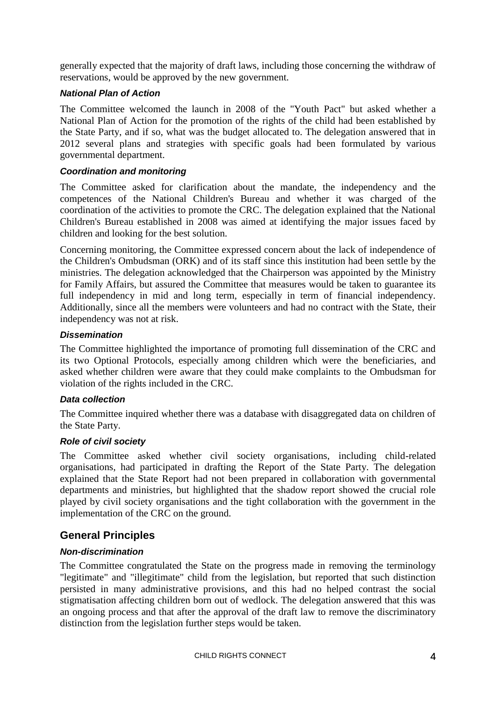generally expected that the majority of draft laws, including those concerning the withdraw of reservations, would be approved by the new government.

### *National Plan of Action*

The Committee welcomed the launch in 2008 of the "Youth Pact" but asked whether a National Plan of Action for the promotion of the rights of the child had been established by the State Party, and if so, what was the budget allocated to. The delegation answered that in 2012 several plans and strategies with specific goals had been formulated by various governmental department.

#### *Coordination and monitoring*

The Committee asked for clarification about the mandate, the independency and the competences of the National Children's Bureau and whether it was charged of the coordination of the activities to promote the CRC. The delegation explained that the National Children's Bureau established in 2008 was aimed at identifying the major issues faced by children and looking for the best solution.

Concerning monitoring, the Committee expressed concern about the lack of independence of the Children's Ombudsman (ORK) and of its staff since this institution had been settle by the ministries. The delegation acknowledged that the Chairperson was appointed by the Ministry for Family Affairs, but assured the Committee that measures would be taken to guarantee its full independency in mid and long term, especially in term of financial independency. Additionally, since all the members were volunteers and had no contract with the State, their independency was not at risk.

#### *Dissemination*

The Committee highlighted the importance of promoting full dissemination of the CRC and its two Optional Protocols, especially among children which were the beneficiaries, and asked whether children were aware that they could make complaints to the Ombudsman for violation of the rights included in the CRC.

#### *Data collection*

The Committee inquired whether there was a database with disaggregated data on children of the State Party.

#### *Role of civil society*

The Committee asked whether civil society organisations, including child-related organisations, had participated in drafting the Report of the State Party. The delegation explained that the State Report had not been prepared in collaboration with governmental departments and ministries, but highlighted that the shadow report showed the crucial role played by civil society organisations and the tight collaboration with the government in the implementation of the CRC on the ground.

### **General Principles**

### *Non-discrimination*

The Committee congratulated the State on the progress made in removing the terminology "legitimate" and "illegitimate" child from the legislation, but reported that such distinction persisted in many administrative provisions, and this had no helped contrast the social stigmatisation affecting children born out of wedlock. The delegation answered that this was an ongoing process and that after the approval of the draft law to remove the discriminatory distinction from the legislation further steps would be taken.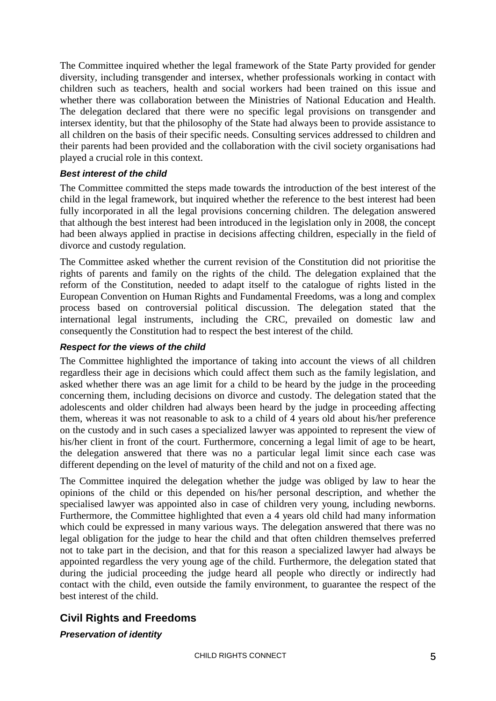The Committee inquired whether the legal framework of the State Party provided for gender diversity, including transgender and intersex, whether professionals working in contact with children such as teachers, health and social workers had been trained on this issue and whether there was collaboration between the Ministries of National Education and Health. The delegation declared that there were no specific legal provisions on transgender and intersex identity, but that the philosophy of the State had always been to provide assistance to all children on the basis of their specific needs. Consulting services addressed to children and their parents had been provided and the collaboration with the civil society organisations had played a crucial role in this context.

### *Best interest of the child*

The Committee committed the steps made towards the introduction of the best interest of the child in the legal framework, but inquired whether the reference to the best interest had been fully incorporated in all the legal provisions concerning children. The delegation answered that although the best interest had been introduced in the legislation only in 2008, the concept had been always applied in practise in decisions affecting children, especially in the field of divorce and custody regulation.

The Committee asked whether the current revision of the Constitution did not prioritise the rights of parents and family on the rights of the child. The delegation explained that the reform of the Constitution, needed to adapt itself to the catalogue of rights listed in the European Convention on Human Rights and Fundamental Freedoms, was a long and complex process based on controversial political discussion. The delegation stated that the international legal instruments, including the CRC, prevailed on domestic law and consequently the Constitution had to respect the best interest of the child.

### *Respect for the views of the child*

The Committee highlighted the importance of taking into account the views of all children regardless their age in decisions which could affect them such as the family legislation, and asked whether there was an age limit for a child to be heard by the judge in the proceeding concerning them, including decisions on divorce and custody. The delegation stated that the adolescents and older children had always been heard by the judge in proceeding affecting them, whereas it was not reasonable to ask to a child of 4 years old about his/her preference on the custody and in such cases a specialized lawyer was appointed to represent the view of his/her client in front of the court. Furthermore, concerning a legal limit of age to be heart, the delegation answered that there was no a particular legal limit since each case was different depending on the level of maturity of the child and not on a fixed age.

The Committee inquired the delegation whether the judge was obliged by law to hear the opinions of the child or this depended on his/her personal description, and whether the specialised lawyer was appointed also in case of children very young, including newborns. Furthermore, the Committee highlighted that even a 4 years old child had many information which could be expressed in many various ways. The delegation answered that there was no legal obligation for the judge to hear the child and that often children themselves preferred not to take part in the decision, and that for this reason a specialized lawyer had always be appointed regardless the very young age of the child. Furthermore, the delegation stated that during the judicial proceeding the judge heard all people who directly or indirectly had contact with the child, even outside the family environment, to guarantee the respect of the best interest of the child.

# **Civil Rights and Freedoms**

*Preservation of identity*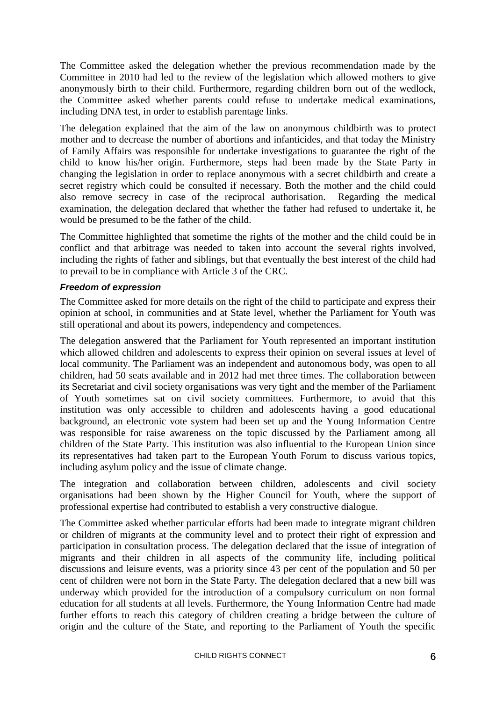The Committee asked the delegation whether the previous recommendation made by the Committee in 2010 had led to the review of the legislation which allowed mothers to give anonymously birth to their child. Furthermore, regarding children born out of the wedlock, the Committee asked whether parents could refuse to undertake medical examinations, including DNA test, in order to establish parentage links.

The delegation explained that the aim of the law on anonymous childbirth was to protect mother and to decrease the number of abortions and infanticides, and that today the Ministry of Family Affairs was responsible for undertake investigations to guarantee the right of the child to know his/her origin. Furthermore, steps had been made by the State Party in changing the legislation in order to replace anonymous with a secret childbirth and create a secret registry which could be consulted if necessary. Both the mother and the child could also remove secrecy in case of the reciprocal authorisation. Regarding the medical examination, the delegation declared that whether the father had refused to undertake it, he would be presumed to be the father of the child.

The Committee highlighted that sometime the rights of the mother and the child could be in conflict and that arbitrage was needed to taken into account the several rights involved, including the rights of father and siblings, but that eventually the best interest of the child had to prevail to be in compliance with Article 3 of the CRC.

### *Freedom of expression*

The Committee asked for more details on the right of the child to participate and express their opinion at school, in communities and at State level, whether the Parliament for Youth was still operational and about its powers, independency and competences.

The delegation answered that the Parliament for Youth represented an important institution which allowed children and adolescents to express their opinion on several issues at level of local community. The Parliament was an independent and autonomous body, was open to all children, had 50 seats available and in 2012 had met three times. The collaboration between its Secretariat and civil society organisations was very tight and the member of the Parliament of Youth sometimes sat on civil society committees. Furthermore, to avoid that this institution was only accessible to children and adolescents having a good educational background, an electronic vote system had been set up and the Young Information Centre was responsible for raise awareness on the topic discussed by the Parliament among all children of the State Party. This institution was also influential to the European Union since its representatives had taken part to the European Youth Forum to discuss various topics, including asylum policy and the issue of climate change.

The integration and collaboration between children, adolescents and civil society organisations had been shown by the Higher Council for Youth, where the support of professional expertise had contributed to establish a very constructive dialogue.

The Committee asked whether particular efforts had been made to integrate migrant children or children of migrants at the community level and to protect their right of expression and participation in consultation process. The delegation declared that the issue of integration of migrants and their children in all aspects of the community life, including political discussions and leisure events, was a priority since 43 per cent of the population and 50 per cent of children were not born in the State Party. The delegation declared that a new bill was underway which provided for the introduction of a compulsory curriculum on non formal education for all students at all levels. Furthermore, the Young Information Centre had made further efforts to reach this category of children creating a bridge between the culture of origin and the culture of the State, and reporting to the Parliament of Youth the specific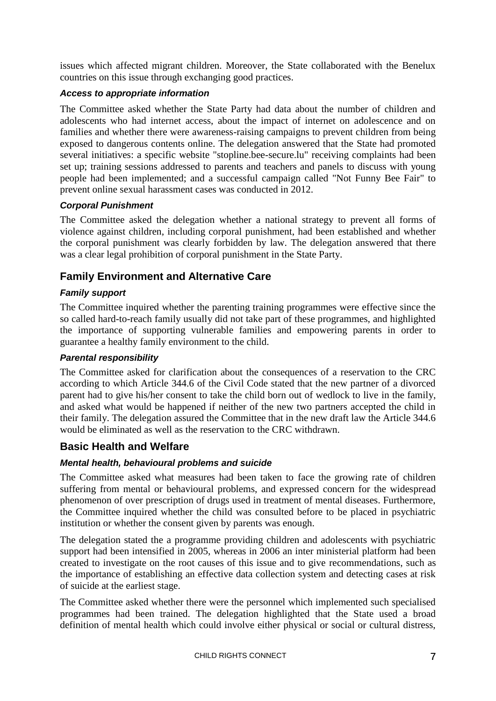issues which affected migrant children. Moreover, the State collaborated with the Benelux countries on this issue through exchanging good practices.

### *Access to appropriate information*

The Committee asked whether the State Party had data about the number of children and adolescents who had internet access, about the impact of internet on adolescence and on families and whether there were awareness-raising campaigns to prevent children from being exposed to dangerous contents online. The delegation answered that the State had promoted several initiatives: a specific website "stopline.bee-secure.lu" receiving complaints had been set up; training sessions addressed to parents and teachers and panels to discuss with young people had been implemented; and a successful campaign called "Not Funny Bee Fair" to prevent online sexual harassment cases was conducted in 2012.

### *Corporal Punishment*

The Committee asked the delegation whether a national strategy to prevent all forms of violence against children, including corporal punishment, had been established and whether the corporal punishment was clearly forbidden by law. The delegation answered that there was a clear legal prohibition of corporal punishment in the State Party.

# **Family Environment and Alternative Care**

### *Family support*

The Committee inquired whether the parenting training programmes were effective since the so called hard-to-reach family usually did not take part of these programmes, and highlighted the importance of supporting vulnerable families and empowering parents in order to guarantee a healthy family environment to the child.

#### *Parental responsibility*

The Committee asked for clarification about the consequences of a reservation to the CRC according to which Article 344.6 of the Civil Code stated that the new partner of a divorced parent had to give his/her consent to take the child born out of wedlock to live in the family, and asked what would be happened if neither of the new two partners accepted the child in their family. The delegation assured the Committee that in the new draft law the Article 344.6 would be eliminated as well as the reservation to the CRC withdrawn.

## **Basic Health and Welfare**

### *Mental health, behavioural problems and suicide*

The Committee asked what measures had been taken to face the growing rate of children suffering from mental or behavioural problems, and expressed concern for the widespread phenomenon of over prescription of drugs used in treatment of mental diseases. Furthermore, the Committee inquired whether the child was consulted before to be placed in psychiatric institution or whether the consent given by parents was enough.

The delegation stated the a programme providing children and adolescents with psychiatric support had been intensified in 2005, whereas in 2006 an inter ministerial platform had been created to investigate on the root causes of this issue and to give recommendations, such as the importance of establishing an effective data collection system and detecting cases at risk of suicide at the earliest stage.

The Committee asked whether there were the personnel which implemented such specialised programmes had been trained. The delegation highlighted that the State used a broad definition of mental health which could involve either physical or social or cultural distress,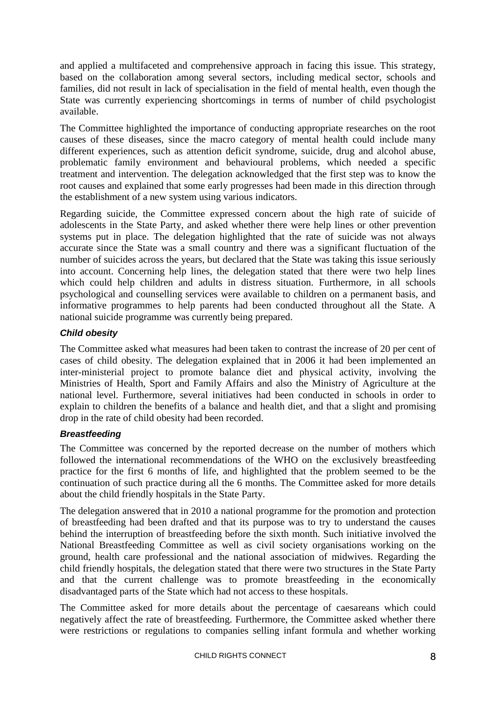and applied a multifaceted and comprehensive approach in facing this issue. This strategy, based on the collaboration among several sectors, including medical sector, schools and families, did not result in lack of specialisation in the field of mental health, even though the State was currently experiencing shortcomings in terms of number of child psychologist available.

The Committee highlighted the importance of conducting appropriate researches on the root causes of these diseases, since the macro category of mental health could include many different experiences, such as attention deficit syndrome, suicide, drug and alcohol abuse, problematic family environment and behavioural problems, which needed a specific treatment and intervention. The delegation acknowledged that the first step was to know the root causes and explained that some early progresses had been made in this direction through the establishment of a new system using various indicators.

Regarding suicide, the Committee expressed concern about the high rate of suicide of adolescents in the State Party, and asked whether there were help lines or other prevention systems put in place. The delegation highlighted that the rate of suicide was not always accurate since the State was a small country and there was a significant fluctuation of the number of suicides across the years, but declared that the State was taking this issue seriously into account. Concerning help lines, the delegation stated that there were two help lines which could help children and adults in distress situation. Furthermore, in all schools psychological and counselling services were available to children on a permanent basis, and informative programmes to help parents had been conducted throughout all the State. A national suicide programme was currently being prepared.

### *Child obesity*

The Committee asked what measures had been taken to contrast the increase of 20 per cent of cases of child obesity. The delegation explained that in 2006 it had been implemented an inter-ministerial project to promote balance diet and physical activity, involving the Ministries of Health, Sport and Family Affairs and also the Ministry of Agriculture at the national level. Furthermore, several initiatives had been conducted in schools in order to explain to children the benefits of a balance and health diet, and that a slight and promising drop in the rate of child obesity had been recorded.

### *Breastfeeding*

The Committee was concerned by the reported decrease on the number of mothers which followed the international recommendations of the WHO on the exclusively breastfeeding practice for the first 6 months of life, and highlighted that the problem seemed to be the continuation of such practice during all the 6 months. The Committee asked for more details about the child friendly hospitals in the State Party.

The delegation answered that in 2010 a national programme for the promotion and protection of breastfeeding had been drafted and that its purpose was to try to understand the causes behind the interruption of breastfeeding before the sixth month. Such initiative involved the National Breastfeeding Committee as well as civil society organisations working on the ground, health care professional and the national association of midwives. Regarding the child friendly hospitals, the delegation stated that there were two structures in the State Party and that the current challenge was to promote breastfeeding in the economically disadvantaged parts of the State which had not access to these hospitals.

The Committee asked for more details about the percentage of caesareans which could negatively affect the rate of breastfeeding. Furthermore, the Committee asked whether there were restrictions or regulations to companies selling infant formula and whether working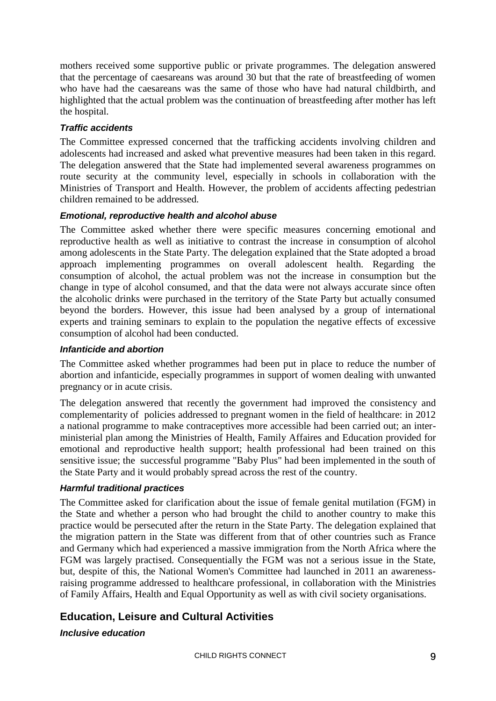mothers received some supportive public or private programmes. The delegation answered that the percentage of caesareans was around 30 but that the rate of breastfeeding of women who have had the caesareans was the same of those who have had natural childbirth, and highlighted that the actual problem was the continuation of breastfeeding after mother has left the hospital.

### *Traffic accidents*

The Committee expressed concerned that the trafficking accidents involving children and adolescents had increased and asked what preventive measures had been taken in this regard. The delegation answered that the State had implemented several awareness programmes on route security at the community level, especially in schools in collaboration with the Ministries of Transport and Health. However, the problem of accidents affecting pedestrian children remained to be addressed.

### *Emotional, reproductive health and alcohol abuse*

The Committee asked whether there were specific measures concerning emotional and reproductive health as well as initiative to contrast the increase in consumption of alcohol among adolescents in the State Party. The delegation explained that the State adopted a broad approach implementing programmes on overall adolescent health. Regarding the consumption of alcohol, the actual problem was not the increase in consumption but the change in type of alcohol consumed, and that the data were not always accurate since often the alcoholic drinks were purchased in the territory of the State Party but actually consumed beyond the borders. However, this issue had been analysed by a group of international experts and training seminars to explain to the population the negative effects of excessive consumption of alcohol had been conducted.

#### *Infanticide and abortion*

The Committee asked whether programmes had been put in place to reduce the number of abortion and infanticide, especially programmes in support of women dealing with unwanted pregnancy or in acute crisis.

The delegation answered that recently the government had improved the consistency and complementarity of policies addressed to pregnant women in the field of healthcare: in 2012 a national programme to make contraceptives more accessible had been carried out; an interministerial plan among the Ministries of Health, Family Affaires and Education provided for emotional and reproductive health support; health professional had been trained on this sensitive issue; the successful programme "Baby Plus" had been implemented in the south of the State Party and it would probably spread across the rest of the country.

### *Harmful traditional practices*

The Committee asked for clarification about the issue of female genital mutilation (FGM) in the State and whether a person who had brought the child to another country to make this practice would be persecuted after the return in the State Party. The delegation explained that the migration pattern in the State was different from that of other countries such as France and Germany which had experienced a massive immigration from the North Africa where the FGM was largely practised. Consequentially the FGM was not a serious issue in the State, but, despite of this, the National Women's Committee had launched in 2011 an awarenessraising programme addressed to healthcare professional, in collaboration with the Ministries of Family Affairs, Health and Equal Opportunity as well as with civil society organisations.

# **Education, Leisure and Cultural Activities**

### *Inclusive education*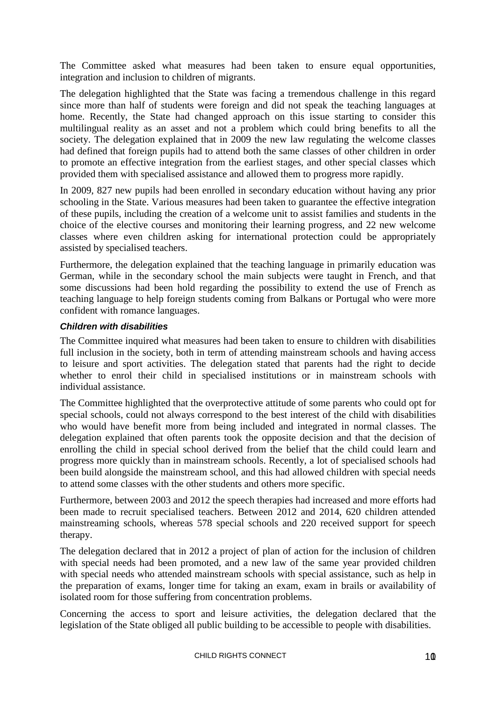The Committee asked what measures had been taken to ensure equal opportunities, integration and inclusion to children of migrants.

The delegation highlighted that the State was facing a tremendous challenge in this regard since more than half of students were foreign and did not speak the teaching languages at home. Recently, the State had changed approach on this issue starting to consider this multilingual reality as an asset and not a problem which could bring benefits to all the society. The delegation explained that in 2009 the new law regulating the welcome classes had defined that foreign pupils had to attend both the same classes of other children in order to promote an effective integration from the earliest stages, and other special classes which provided them with specialised assistance and allowed them to progress more rapidly.

In 2009, 827 new pupils had been enrolled in secondary education without having any prior schooling in the State. Various measures had been taken to guarantee the effective integration of these pupils, including the creation of a welcome unit to assist families and students in the choice of the elective courses and monitoring their learning progress, and 22 new welcome classes where even children asking for international protection could be appropriately assisted by specialised teachers.

Furthermore, the delegation explained that the teaching language in primarily education was German, while in the secondary school the main subjects were taught in French, and that some discussions had been hold regarding the possibility to extend the use of French as teaching language to help foreign students coming from Balkans or Portugal who were more confident with romance languages.

### *Children with disabilities*

The Committee inquired what measures had been taken to ensure to children with disabilities full inclusion in the society, both in term of attending mainstream schools and having access to leisure and sport activities. The delegation stated that parents had the right to decide whether to enrol their child in specialised institutions or in mainstream schools with individual assistance.

The Committee highlighted that the overprotective attitude of some parents who could opt for special schools, could not always correspond to the best interest of the child with disabilities who would have benefit more from being included and integrated in normal classes. The delegation explained that often parents took the opposite decision and that the decision of enrolling the child in special school derived from the belief that the child could learn and progress more quickly than in mainstream schools. Recently, a lot of specialised schools had been build alongside the mainstream school, and this had allowed children with special needs to attend some classes with the other students and others more specific.

Furthermore, between 2003 and 2012 the speech therapies had increased and more efforts had been made to recruit specialised teachers. Between 2012 and 2014, 620 children attended mainstreaming schools, whereas 578 special schools and 220 received support for speech therapy.

The delegation declared that in 2012 a project of plan of action for the inclusion of children with special needs had been promoted, and a new law of the same year provided children with special needs who attended mainstream schools with special assistance, such as help in the preparation of exams, longer time for taking an exam, exam in brails or availability of isolated room for those suffering from concentration problems.

Concerning the access to sport and leisure activities, the delegation declared that the legislation of the State obliged all public building to be accessible to people with disabilities.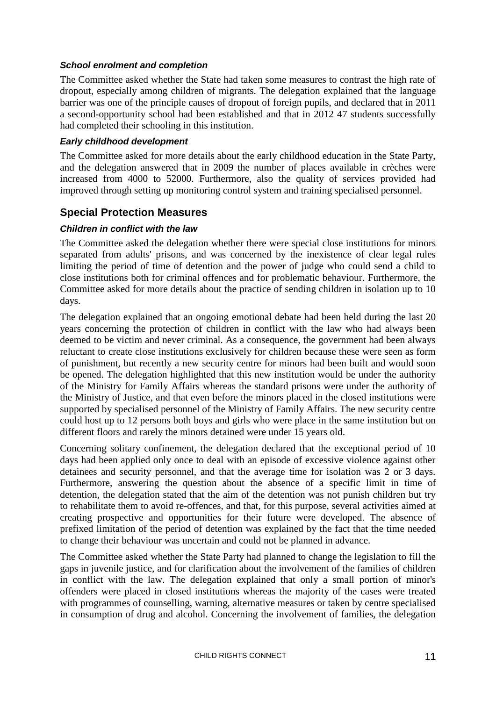#### *School enrolment and completion*

The Committee asked whether the State had taken some measures to contrast the high rate of dropout, especially among children of migrants. The delegation explained that the language barrier was one of the principle causes of dropout of foreign pupils, and declared that in 2011 a second-opportunity school had been established and that in 2012 47 students successfully had completed their schooling in this institution.

### *Early childhood development*

The Committee asked for more details about the early childhood education in the State Party, and the delegation answered that in 2009 the number of places available in crèches were increased from 4000 to 52000. Furthermore, also the quality of services provided had improved through setting up monitoring control system and training specialised personnel.

## **Special Protection Measures**

### *Children in conflict with the law*

The Committee asked the delegation whether there were special close institutions for minors separated from adults' prisons, and was concerned by the inexistence of clear legal rules limiting the period of time of detention and the power of judge who could send a child to close institutions both for criminal offences and for problematic behaviour. Furthermore, the Committee asked for more details about the practice of sending children in isolation up to 10 days.

The delegation explained that an ongoing emotional debate had been held during the last 20 years concerning the protection of children in conflict with the law who had always been deemed to be victim and never criminal. As a consequence, the government had been always reluctant to create close institutions exclusively for children because these were seen as form of punishment, but recently a new security centre for minors had been built and would soon be opened. The delegation highlighted that this new institution would be under the authority of the Ministry for Family Affairs whereas the standard prisons were under the authority of the Ministry of Justice, and that even before the minors placed in the closed institutions were supported by specialised personnel of the Ministry of Family Affairs. The new security centre could host up to 12 persons both boys and girls who were place in the same institution but on different floors and rarely the minors detained were under 15 years old.

Concerning solitary confinement, the delegation declared that the exceptional period of 10 days had been applied only once to deal with an episode of excessive violence against other detainees and security personnel, and that the average time for isolation was 2 or 3 days. Furthermore, answering the question about the absence of a specific limit in time of detention, the delegation stated that the aim of the detention was not punish children but try to rehabilitate them to avoid re-offences, and that, for this purpose, several activities aimed at creating prospective and opportunities for their future were developed. The absence of prefixed limitation of the period of detention was explained by the fact that the time needed to change their behaviour was uncertain and could not be planned in advance.

The Committee asked whether the State Party had planned to change the legislation to fill the gaps in juvenile justice, and for clarification about the involvement of the families of children in conflict with the law. The delegation explained that only a small portion of minor's offenders were placed in closed institutions whereas the majority of the cases were treated with programmes of counselling, warning, alternative measures or taken by centre specialised in consumption of drug and alcohol. Concerning the involvement of families, the delegation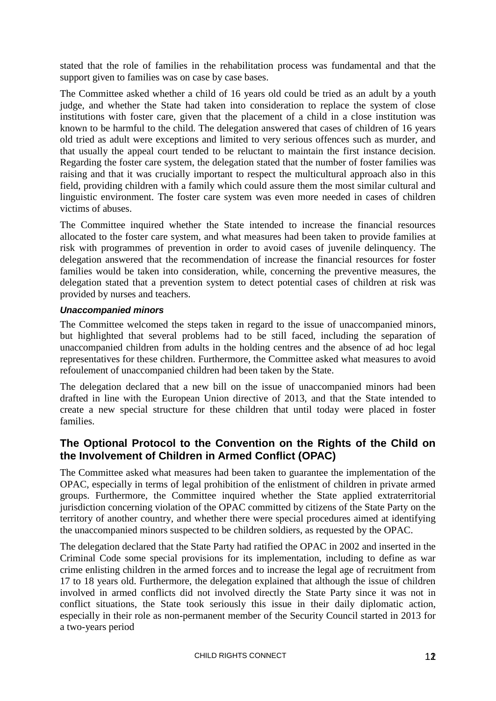stated that the role of families in the rehabilitation process was fundamental and that the support given to families was on case by case bases.

The Committee asked whether a child of 16 years old could be tried as an adult by a youth judge, and whether the State had taken into consideration to replace the system of close institutions with foster care, given that the placement of a child in a close institution was known to be harmful to the child. The delegation answered that cases of children of 16 years old tried as adult were exceptions and limited to very serious offences such as murder, and that usually the appeal court tended to be reluctant to maintain the first instance decision. Regarding the foster care system, the delegation stated that the number of foster families was raising and that it was crucially important to respect the multicultural approach also in this field, providing children with a family which could assure them the most similar cultural and linguistic environment. The foster care system was even more needed in cases of children victims of abuses.

The Committee inquired whether the State intended to increase the financial resources allocated to the foster care system, and what measures had been taken to provide families at risk with programmes of prevention in order to avoid cases of juvenile delinquency. The delegation answered that the recommendation of increase the financial resources for foster families would be taken into consideration, while, concerning the preventive measures, the delegation stated that a prevention system to detect potential cases of children at risk was provided by nurses and teachers.

#### *Unaccompanied minors*

The Committee welcomed the steps taken in regard to the issue of unaccompanied minors, but highlighted that several problems had to be still faced, including the separation of unaccompanied children from adults in the holding centres and the absence of ad hoc legal representatives for these children. Furthermore, the Committee asked what measures to avoid refoulement of unaccompanied children had been taken by the State.

The delegation declared that a new bill on the issue of unaccompanied minors had been drafted in line with the European Union directive of 2013, and that the State intended to create a new special structure for these children that until today were placed in foster families.

# <span id="page-11-0"></span>**The Optional Protocol to the Convention on the Rights of the Child on the Involvement of Children in Armed Conflict (OPAC)**

<span id="page-11-1"></span>The Committee asked what measures had been taken to guarantee the implementation of the OPAC, especially in terms of legal prohibition of the enlistment of children in private armed groups. Furthermore, the Committee inquired whether the State applied extraterritorial jurisdiction concerning violation of the OPAC committed by citizens of the State Party on the territory of another country, and whether there were special procedures aimed at identifying the unaccompanied minors suspected to be children soldiers, as requested by the OPAC.

The delegation declared that the State Party had ratified the OPAC in 2002 and inserted in the Criminal Code some special provisions for its implementation, including to define as war crime enlisting children in the armed forces and to increase the legal age of recruitment from 17 to 18 years old. Furthermore, the delegation explained that although the issue of children involved in armed conflicts did not involved directly the State Party since it was not in conflict situations, the State took seriously this issue in their daily diplomatic action, especially in their role as non-permanent member of the Security Council started in 2013 for a two-years period